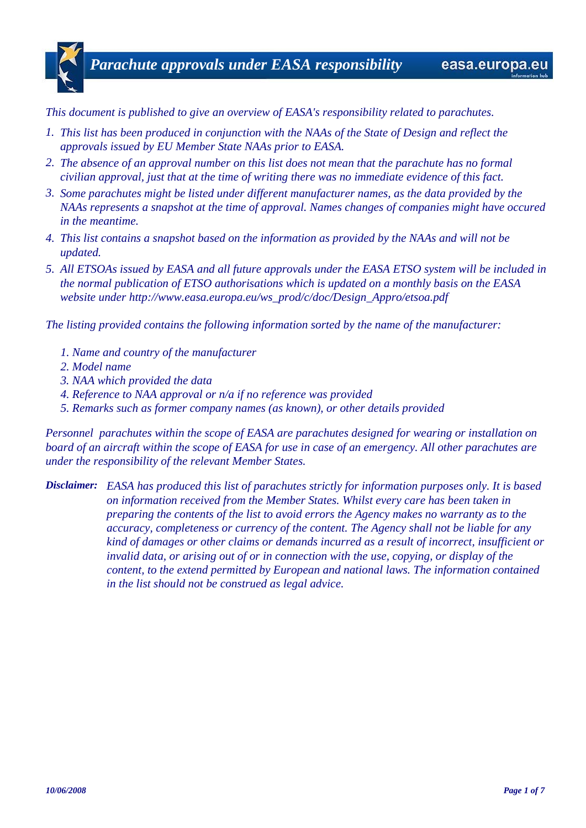*This document is published to give an overview of EASA's responsibility related to parachutes.*

- *1. This list has been produced in conjunction with the NAAs of the State of Design and reflect the approvals issued by EU Member State NAAs prior to EASA.*
- *2. The absence of an approval number on this list does not mean that the parachute has no formal civilian approval, just that at the time of writing there was no immediate evidence of this fact.*
- *3. Some parachutes might be listed under different manufacturer names, as the data provided by the NAAs represents a snapshot at the time of approval. Names changes of companies might have occured in the meantime.*
- *4. This list contains a snapshot based on the information as provided by the NAAs and will not be updated.*
- *5. All ETSOAs issued by EASA and all future approvals under the EASA ETSO system will be included in the normal publication of ETSO authorisations which is updated on a monthly basis on the EASA website under http://www.easa.europa.eu/ws\_prod/c/doc/Design\_Appro/etsoa.pdf*

*The listing provided contains the following information sorted by the name of the manufacturer:*

- *1. Name and country of the manufacturer*
- *2. Model name*
- *3. NAA which provided the data*
- *4. Reference to NAA approval or n/a if no reference was provided*
- *5. Remarks such as former company names (as known), or other details provided*

*Personnel parachutes within the scope of EASA are parachutes designed for wearing or installation on board of an aircraft within the scope of EASA for use in case of an emergency. All other parachutes are under the responsibility of the relevant Member States.*

*Disclaimer: EASA has produced this list of parachutes strictly for information purposes only. It is based on information received from the Member States. Whilst every care has been taken in preparing the contents of the list to avoid errors the Agency makes no warranty as to the accuracy, completeness or currency of the content. The Agency shall not be liable for any kind of damages or other claims or demands incurred as a result of incorrect, insufficient or invalid data, or arising out of or in connection with the use, copying, or display of the content, to the extend permitted by European and national laws. The information contained in the list should not be construed as legal advice.*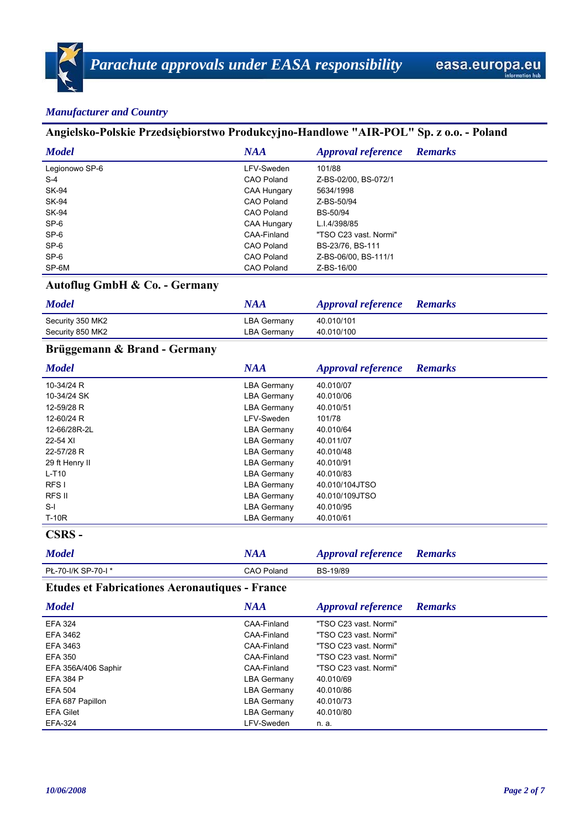# **Angielsko-Polskie Przedsiębiorstwo Produkcyjno-Handlowe "AIR-POL" Sp. z o.o. - Poland**

| <b>Model</b>   | <b>NAA</b>        | <b>Approval reference</b> | <b>Remarks</b> |
|----------------|-------------------|---------------------------|----------------|
| Legionowo SP-6 | LFV-Sweden        | 101/88                    |                |
| $S-4$          | <b>CAO Poland</b> | Z-BS-02/00, BS-072/1      |                |
| SK-94          | CAA Hungary       | 5634/1998                 |                |
| SK-94          | <b>CAO Poland</b> | Z-BS-50/94                |                |
| <b>SK-94</b>   | <b>CAO Poland</b> | BS-50/94                  |                |
| SP-6           | CAA Hungary       | L.I.4/398/85              |                |
| SP-6           | CAA-Finland       | "TSO C23 vast. Normi"     |                |
| SP-6           | <b>CAO Poland</b> | BS-23/76, BS-111          |                |
| SP-6           | <b>CAO Poland</b> | Z-BS-06/00, BS-111/1      |                |
| SP-6M          | <b>CAO Poland</b> | Z-BS-16/00                |                |

# **Autoflug GmbH & Co. - Germany**

| <b>Model</b>     | NAA                | <b>Approval reference Remarks</b> |  |
|------------------|--------------------|-----------------------------------|--|
| Security 350 MK2 | <b>LBA Germany</b> | 40.010/101                        |  |
| Security 850 MK2 | LBA Germany        | 40.010/100                        |  |

## **Brüggemann & Brand - Germany**

| <b>Model</b>     | <b>NAA</b>         | <b>Approval reference</b> | <b>Remarks</b> |
|------------------|--------------------|---------------------------|----------------|
| 10-34/24 R       | <b>LBA Germany</b> | 40.010/07                 |                |
| 10-34/24 SK      | <b>LBA Germany</b> | 40.010/06                 |                |
| 12-59/28 R       | <b>LBA Germany</b> | 40.010/51                 |                |
| 12-60/24 R       | LFV-Sweden         | 101/78                    |                |
| 12-66/28R-2L     | <b>LBA Germany</b> | 40.010/64                 |                |
| 22-54 XI         | <b>LBA Germany</b> | 40.011/07                 |                |
| 22-57/28 R       | <b>LBA Germany</b> | 40.010/48                 |                |
| 29 ft Henry II   | <b>LBA Germany</b> | 40.010/91                 |                |
| $L-T10$          | <b>LBA Germany</b> | 40.010/83                 |                |
| RFS <sub>I</sub> | <b>LBA Germany</b> | 40.010/104JTSO            |                |
| RFS II           | <b>LBA Germany</b> | 40.010/109JTSO            |                |
| $S-I$            | <b>LBA Germany</b> | 40.010/95                 |                |
| $T-10R$          | <b>LBA Germany</b> | 40.010/61                 |                |

#### **CSRS -**

| <b>Model</b>       |            | <b>Approval reference</b> Remarks |  |
|--------------------|------------|-----------------------------------|--|
| PŁ-70-I/K SP-70-I* | CAO Poland | BS-19/89                          |  |

# **Etudes et Fabricationes Aeronautiques - France**

| <b>Model</b>        | <b>NAA</b>         | <b>Approval reference</b> | <b>Remarks</b> |
|---------------------|--------------------|---------------------------|----------------|
| <b>EFA 324</b>      | CAA-Finland        | "TSO C23 vast. Normi"     |                |
| EFA 3462            | CAA-Finland        | "TSO C23 vast. Normi"     |                |
| EFA 3463            | CAA-Finland        | "TSO C23 vast. Normi"     |                |
| <b>EFA 350</b>      | CAA-Finland        | "TSO C23 vast. Normi"     |                |
| EFA 356A/406 Saphir | CAA-Finland        | "TSO C23 vast. Normi"     |                |
| <b>EFA 384 P</b>    | LBA Germany        | 40.010/69                 |                |
| <b>EFA 504</b>      | LBA Germany        | 40.010/86                 |                |
| EFA 687 Papillon    | LBA Germany        | 40.010/73                 |                |
| <b>EFA Gilet</b>    | <b>LBA Germany</b> | 40.010/80                 |                |
| EFA-324             | LFV-Sweden         | n. a.                     |                |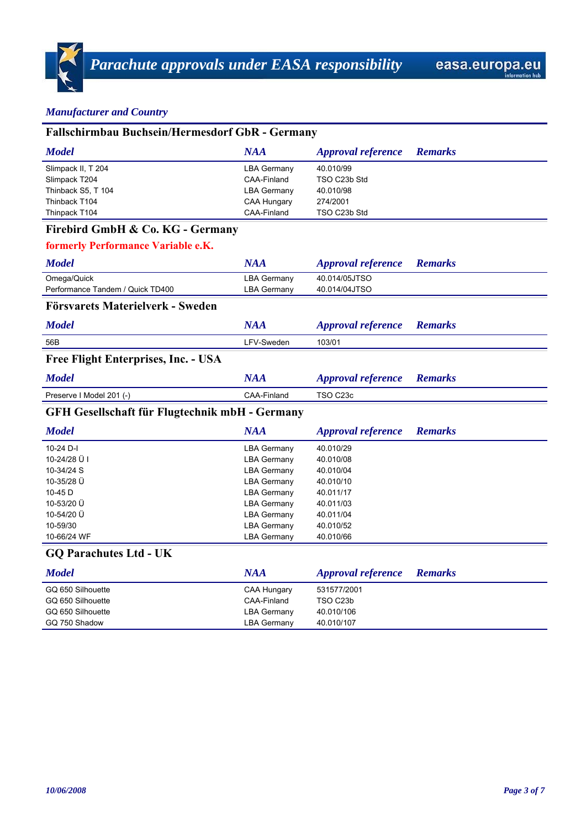| <b>Fallschirmbau Buchsein/Hermesdorf GbR - Germany</b> |                    |                           |                |  |
|--------------------------------------------------------|--------------------|---------------------------|----------------|--|
| <b>Model</b>                                           | <b>NAA</b>         | <b>Approval reference</b> | <b>Remarks</b> |  |
| Slimpack II, T 204                                     | <b>LBA Germany</b> | 40.010/99                 |                |  |
| Slimpack T204                                          | CAA-Finland        | TSO C23b Std              |                |  |
| Thinback S5, T 104                                     | <b>LBA Germany</b> | 40.010/98                 |                |  |
| Thinback T104                                          | CAA Hungary        | 274/2001                  |                |  |
| Thinpack T104                                          | CAA-Finland        | TSO C23b Std              |                |  |
| Firebird GmbH & Co. KG - Germany                       |                    |                           |                |  |
| formerly Performance Variable e.K.                     |                    |                           |                |  |
| <b>Model</b>                                           | <b>NAA</b>         | <b>Approval reference</b> | <b>Remarks</b> |  |
| Omega/Quick                                            | <b>LBA Germany</b> | 40.014/05JTSO             |                |  |
| Performance Tandem / Quick TD400                       | <b>LBA Germany</b> | 40.014/04JTSO             |                |  |
| Försvarets Materielverk - Sweden                       |                    |                           |                |  |
| <b>Model</b>                                           | <b>NAA</b>         | <b>Approval reference</b> | <b>Remarks</b> |  |
| 56B                                                    | LFV-Sweden         | 103/01                    |                |  |
| Free Flight Enterprises, Inc. - USA                    |                    |                           |                |  |
| <b>Model</b>                                           | <b>NAA</b>         | <b>Approval reference</b> | <b>Remarks</b> |  |
| Preserve I Model 201 (-)                               | CAA-Finland        | TSO C23c                  |                |  |
| <b>GFH Gesellschaft für Flugtechnik mbH - Germany</b>  |                    |                           |                |  |
| <b>Model</b>                                           | <b>NAA</b>         | <b>Approval reference</b> | <b>Remarks</b> |  |
| 10-24 D-I                                              | <b>LBA Germany</b> | 40.010/29                 |                |  |
| 10-24/28 Ü I                                           | <b>LBA Germany</b> | 40.010/08                 |                |  |
| 10-34/24 S                                             | <b>LBA Germany</b> | 40.010/04                 |                |  |
| 10-35/28 Ü                                             | <b>LBA Germany</b> | 40.010/10                 |                |  |
| 10-45 D                                                | <b>LBA Germany</b> | 40.011/17                 |                |  |
| 10-53/20 Ü                                             | <b>LBA Germany</b> | 40.011/03                 |                |  |
| 10-54/20 Ü                                             | <b>LBA Germany</b> | 40.011/04                 |                |  |
| 10-59/30                                               | <b>LBA Germany</b> | 40.010/52                 |                |  |
| 10-66/24 WF                                            | <b>LBA Germany</b> | 40.010/66                 |                |  |
| <b>GQ Parachutes Ltd - UK</b>                          |                    |                           |                |  |
| <b>Model</b>                                           | <b>NAA</b>         | <b>Approval reference</b> | <b>Remarks</b> |  |
| GQ 650 Silhouette                                      | <b>CAA Hungary</b> | 531577/2001               |                |  |
| GQ 650 Silhouette                                      | <b>CAA-Finland</b> | TSO C23b                  |                |  |
| GQ 650 Silhouette                                      | <b>LBA Germany</b> | 40.010/106                |                |  |
| GQ 750 Shadow                                          | <b>LBA Germany</b> | 40.010/107                |                |  |
|                                                        |                    |                           |                |  |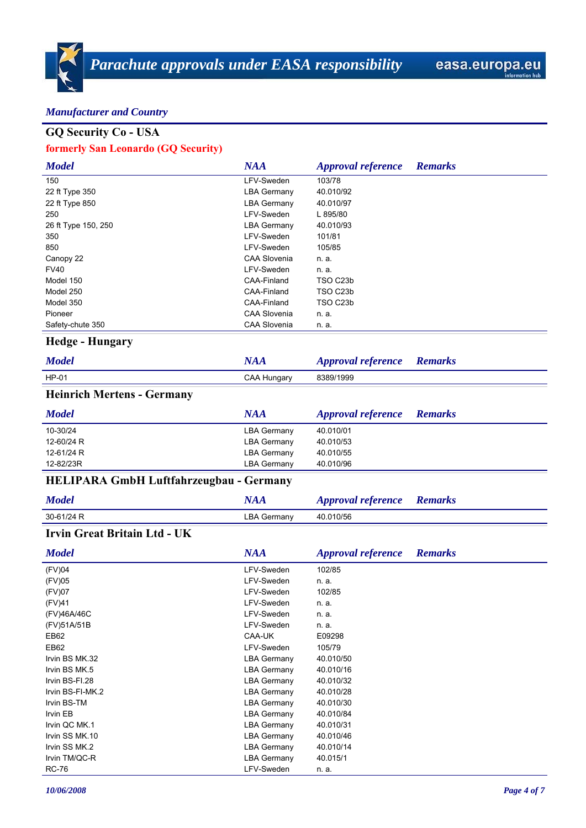# **GQ Security Co - USA**

#### **formerly San Leonardo (GQ Security)**

| <b>Model</b>        | <b>NAA</b>          | <b>Approval reference</b> | <b>Remarks</b> |
|---------------------|---------------------|---------------------------|----------------|
| 150                 | LFV-Sweden          | 103/78                    |                |
| 22 ft Type 350      | <b>LBA Germany</b>  | 40.010/92                 |                |
| 22 ft Type 850      | <b>LBA Germany</b>  | 40.010/97                 |                |
| 250                 | LFV-Sweden          | L 895/80                  |                |
| 26 ft Type 150, 250 | <b>LBA Germany</b>  | 40.010/93                 |                |
| 350                 | LFV-Sweden          | 101/81                    |                |
| 850                 | LFV-Sweden          | 105/85                    |                |
| Canopy 22           | <b>CAA Slovenia</b> | n. a.                     |                |
| <b>FV40</b>         | LFV-Sweden          | n. a.                     |                |
| Model 150           | CAA-Finland         | TSO C <sub>23</sub> b     |                |
| Model 250           | CAA-Finland         | TSO C23b                  |                |
| Model 350           | CAA-Finland         | TSO C23b                  |                |
| Pioneer             | <b>CAA Slovenia</b> | n. a.                     |                |
| Safety-chute 350    | <b>CAA Slovenia</b> | n. a.                     |                |

# **Hedge - Hungary**

| <b>Model</b>             | <b>NAA</b>  | <b>Approval reference</b> Remarks |  |
|--------------------------|-------------|-----------------------------------|--|
| $HP-01$                  | CAA Hungary | 8389/1999                         |  |
| Hoinrich Mortons Cormony |             |                                   |  |

#### **Heinrich Mertens - Germany**

| <b>Model</b> | <b>NAA</b>         | <i>Approval reference</i> | <b>Remarks</b> |
|--------------|--------------------|---------------------------|----------------|
| 10-30/24     | <b>LBA Germany</b> | 40.010/01                 |                |
| 12-60/24 R   | <b>LBA Germany</b> | 40.010/53                 |                |
| 12-61/24 R   | LBA Germany        | 40.010/55                 |                |
| 12-82/23R    | <b>LBA Germany</b> | 40.010/96                 |                |

# **HELIPARA GmbH Luftfahrzeugbau - Germany**

| <b>Model</b> | NAA                | <b>Approval reference</b> Remarks |  |
|--------------|--------------------|-----------------------------------|--|
| 30-61/24 R   | <b>LBA Germany</b> | 40.010/56                         |  |

# **Irvin Great Britain Ltd - UK**

| <b>Model</b>     | <b>NAA</b>         | <b>Approval reference</b> | <b>Remarks</b> |
|------------------|--------------------|---------------------------|----------------|
| (FV)04           | LFV-Sweden         | 102/85                    |                |
| (FV)05           | LFV-Sweden         | n. a.                     |                |
| (FV)07           | LFV-Sweden         | 102/85                    |                |
| (FV)41           | LFV-Sweden         | n. a.                     |                |
| (FV)46A/46C      | LFV-Sweden         | n. a.                     |                |
| (FV)51A/51B      | LFV-Sweden         | n. a.                     |                |
| EB62             | CAA-UK             | E09298                    |                |
| EB62             | LFV-Sweden         | 105/79                    |                |
| Irvin BS MK.32   | <b>LBA Germany</b> | 40.010/50                 |                |
| Irvin BS MK.5    | <b>LBA Germany</b> | 40.010/16                 |                |
| Irvin BS-FI.28   | <b>LBA Germany</b> | 40.010/32                 |                |
| Irvin BS-FI-MK.2 | <b>LBA Germany</b> | 40.010/28                 |                |
| Irvin BS-TM      | <b>LBA Germany</b> | 40.010/30                 |                |
| Irvin EB         | <b>LBA Germany</b> | 40.010/84                 |                |
| Irvin QC MK.1    | <b>LBA Germany</b> | 40.010/31                 |                |
| Irvin SS MK.10   | <b>LBA Germany</b> | 40.010/46                 |                |
| Irvin SS MK.2    | <b>LBA Germany</b> | 40.010/14                 |                |
| Irvin TM/QC-R    | <b>LBA Germany</b> | 40.015/1                  |                |
| <b>RC-76</b>     | LFV-Sweden         | n. a.                     |                |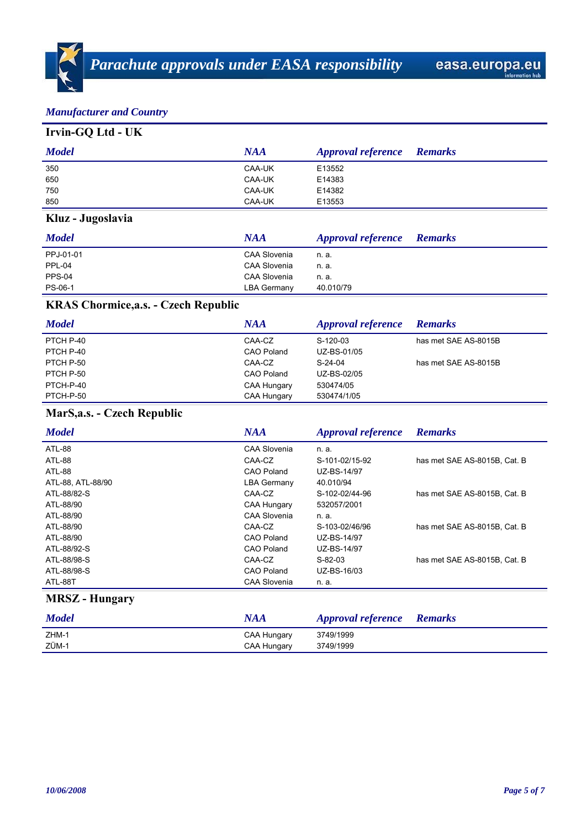# **Irvin-GQ Ltd - UK**

| <b>Model</b> | <b>NAA</b> | <b>Approval reference</b> Remarks |  |
|--------------|------------|-----------------------------------|--|
| 350          | CAA-UK     | E13552                            |  |
| 650          | CAA-UK     | E14383                            |  |
| 750          | CAA-UK     | E14382                            |  |
| 850          | CAA-UK     | E13553                            |  |

# **Kluz - Jugoslavia**

| <b>Model</b> | <b>NAA</b>          | <b>Approval reference</b> | <b>Remarks</b> |
|--------------|---------------------|---------------------------|----------------|
| PPJ-01-01    | CAA Slovenia        | n. a.                     |                |
| PPL-04       | CAA Slovenia        | n. a.                     |                |
| PPS-04       | <b>CAA Slovenia</b> | n. a.                     |                |
| PS-06-1      | <b>LBA Germany</b>  | 40.010/79                 |                |

# **KRAS Chormice,a.s. - Czech Republic**

| <b>Model</b> | <b>NAA</b>        | <i>Approval reference</i> | <b>Remarks</b>       |
|--------------|-------------------|---------------------------|----------------------|
| PTCH P-40    | CAA-CZ            | S-120-03                  | has met SAE AS-8015B |
| PTCH P-40    | <b>CAO Poland</b> | UZ-BS-01/05               |                      |
| PTCH P-50    | CAA-CZ            | $S-24-04$                 | has met SAE AS-8015B |
| PTCH P-50    | CAO Poland        | UZ-BS-02/05               |                      |
| PTCH-P-40    | CAA Hungary       | 530474/05                 |                      |
| PTCH-P-50    | CAA Hungary       | 530474/1/05               |                      |

# **MarS,a.s. - Czech Republic**

| <b>Model</b>                | <b>NAA</b>          | <b>Approval reference</b> | <b>Remarks</b>               |
|-----------------------------|---------------------|---------------------------|------------------------------|
| ATL-88                      | CAA Slovenia        | n. a.                     |                              |
| ATL-88                      | CAA-CZ              | S-101-02/15-92            | has met SAE AS-8015B, Cat. B |
| ATL-88                      | CAO Poland          | UZ-BS-14/97               |                              |
| ATL-88, ATL-88/90           | <b>LBA Germany</b>  | 40.010/94                 |                              |
| ATL-88/82-S                 | CAA-CZ              | S-102-02/44-96            | has met SAE AS-8015B, Cat. B |
| ATL-88/90                   | CAA Hungary         | 532057/2001               |                              |
| ATL-88/90                   | CAA Slovenia        | n. a.                     |                              |
| ATL-88/90                   | CAA-CZ              | S-103-02/46/96            | has met SAE AS-8015B. Cat. B |
| ATL-88/90                   | CAO Poland          | UZ-BS-14/97               |                              |
| ATL-88/92-S                 | CAO Poland          | UZ-BS-14/97               |                              |
| ATL-88/98-S                 | CAA-CZ              | $S-82-03$                 | has met SAE AS-8015B. Cat. B |
| ATL-88/98-S                 | CAO Poland          | UZ-BS-16/03               |                              |
| ATL-88T                     | <b>CAA Slovenia</b> | n. a.                     |                              |
| MDC7<br>$\mathbf{H}$ $\sim$ |                     |                           |                              |

#### **MRSZ - Hungary**

| <b>Model</b> | NAA         | <b>Approval reference</b> Remarks |  |
|--------------|-------------|-----------------------------------|--|
| ZHM-1        | CAA Hungary | 3749/1999                         |  |
| ZÜM-1        | CAA Hungary | 3749/1999                         |  |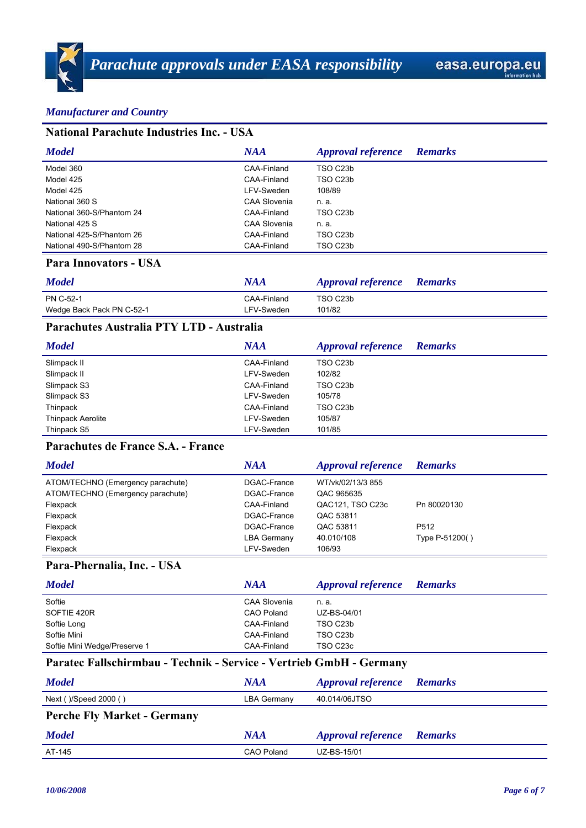#### **National Parachute Industries Inc. - USA** *Model NAA Approval reference Remarks* Model 360 CAA-Finland TSO C23b Model 425 CAA-Finland TSO C23b Model 425 **Model 425** LFV-Sweden 208/89 National 360 S CAA Slovenia n. a. National 360-S/Phantom 24 CAA-Finland TSO C23b National 425 S CAA Slovenia n. a. National 425-S/Phantom 26 CAA-Finland TSO C23b National 490-S/Phantom 28 CAA-Finland TSO C23b

#### **Para Innovators - USA**

| <b>Model</b>              | NAA         | <b>Approval reference</b> Remarks |  |
|---------------------------|-------------|-----------------------------------|--|
| PN C-52-1                 | CAA-Finland | TSO C23b                          |  |
| Wedge Back Pack PN C-52-1 | LFV-Sweden  | 101/82                            |  |

#### **Parachutes Australia PTY LTD - Australia**

| <b>Model</b>             | NAA         | <b>Approval reference</b> | <b>Remarks</b> |
|--------------------------|-------------|---------------------------|----------------|
| Slimpack II              | CAA-Finland | TSO C23b                  |                |
| Slimpack II              | LFV-Sweden  | 102/82                    |                |
| Slimpack S3              | CAA-Finland | TSO C23b                  |                |
| Slimpack S3              | LFV-Sweden  | 105/78                    |                |
| Thinpack                 | CAA-Finland | TSO C23b                  |                |
| <b>Thinpack Aerolite</b> | LFV-Sweden  | 105/87                    |                |
| Thinpack S5              | LFV-Sweden  | 101/85                    |                |

## **Parachutes de France S.A. - France**

| <b>Model</b>                      | NAA         | <b>Approval reference</b> | <b>Remarks</b>    |
|-----------------------------------|-------------|---------------------------|-------------------|
| ATOM/TECHNO (Emergency parachute) | DGAC-France | WT/vk/02/13/3 855         |                   |
| ATOM/TECHNO (Emergency parachute) | DGAC-France | QAC 965635                |                   |
| Flexpack                          | CAA-Finland | QAC121, TSO C23c          | Pn 80020130       |
| Flexpack                          | DGAC-France | QAC 53811                 |                   |
| Flexpack                          | DGAC-France | QAC 53811                 | P <sub>5</sub> 12 |
| Flexpack                          | LBA Germany | 40.010/108                | Type P-51200()    |
| Flexpack                          | LFV-Sweden  | 106/93                    |                   |

## **Para-Phernalia, Inc. - USA**

| <b>Model</b>                 | <b>NAA</b>          | <b>Approval reference</b> | <b>Remarks</b> |
|------------------------------|---------------------|---------------------------|----------------|
| Softie                       | <b>CAA Slovenia</b> | n. a.                     |                |
| SOFTIE 420R                  | <b>CAO Poland</b>   | UZ-BS-04/01               |                |
| Softie Long                  | CAA-Finland         | TSO C23b                  |                |
| Softie Mini                  | CAA-Finland         | TSO C23b                  |                |
| Softie Mini Wedge/Preserve 1 | CAA-Finland         | TSO C23c                  |                |

# **Paratec Fallschirmbau - Technik - Service - Vertrieb GmbH - Germany**

| <b>Model</b>                       | <b>NAA</b>        | <b>Approval reference</b> Remarks |                |
|------------------------------------|-------------------|-----------------------------------|----------------|
| Next ()/Speed 2000 ()              | LBA Germany       | 40.014/06JTSO                     |                |
| <b>Perche Fly Market - Germany</b> |                   |                                   |                |
| <b>Model</b>                       | <b>NAA</b>        | <b>Approval reference</b>         | <b>Remarks</b> |
| AT-145                             | <b>CAO Poland</b> | UZ-BS-15/01                       |                |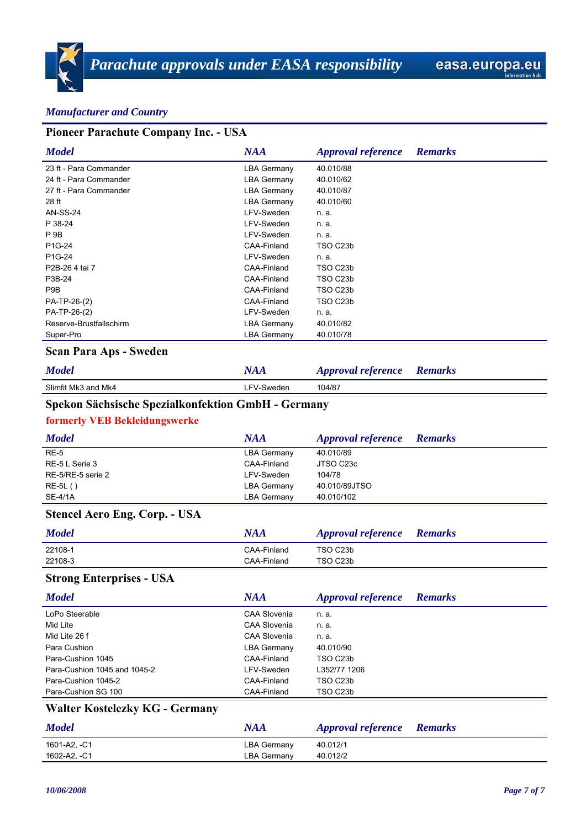| Pioneer Parachute Company Inc. - USA               |                    |                           |                |  |
|----------------------------------------------------|--------------------|---------------------------|----------------|--|
| <b>Model</b>                                       | <b>NAA</b>         | <b>Approval reference</b> | <b>Remarks</b> |  |
| 23 ft - Para Commander                             | <b>LBA Germany</b> | 40.010/88                 |                |  |
| 24 ft - Para Commander                             | <b>LBA Germany</b> | 40.010/62                 |                |  |
| 27 ft - Para Commander                             | <b>LBA Germany</b> | 40.010/87                 |                |  |
| 28 ft                                              | <b>LBA Germany</b> | 40.010/60                 |                |  |
| <b>AN-SS-24</b>                                    | LFV-Sweden         | n. a.                     |                |  |
| P 38-24                                            | LFV-Sweden         | n. a.                     |                |  |
| P <sub>9B</sub>                                    | LFV-Sweden         | n. a.                     |                |  |
| P1G-24                                             | CAA-Finland        | TSO C23b                  |                |  |
| P1G-24                                             | LFV-Sweden         | n. a.                     |                |  |
| P2B-26 4 tai 7                                     | CAA-Finland        | TSO C23b                  |                |  |
| P3B-24                                             | CAA-Finland        | TSO C23b                  |                |  |
| P9B                                                | CAA-Finland        | TSO C23b                  |                |  |
| PA-TP-26-(2)                                       | CAA-Finland        | TSO C23b                  |                |  |
| PA-TP-26-(2)                                       | LFV-Sweden         | n. a.                     |                |  |
| Reserve-Brustfallschirm                            | <b>LBA Germany</b> | 40.010/82                 |                |  |
| Super-Pro                                          | <b>LBA Germany</b> | 40.010/78                 |                |  |
| <b>Scan Para Aps - Sweden</b>                      |                    |                           |                |  |
| <b>Model</b>                                       | <b>NAA</b>         | <b>Approval reference</b> | <b>Remarks</b> |  |
| Slimfit Mk3 and Mk4                                | LFV-Sweden         | 104/87                    |                |  |
| Spekon Sächsische Spezialkonfektion GmbH - Germany |                    |                           |                |  |
| <b>formerly VEB Bekleidungswerke</b>               |                    |                           |                |  |
| <b>Model</b>                                       | <b>NAA</b>         | <b>Approval reference</b> | <b>Remarks</b> |  |
| $RE-5$                                             | <b>LBA Germany</b> | 40.010/89                 |                |  |
| RE-5 L Serie 3                                     | CAA-Finland        | JTSO C23c                 |                |  |
| RE-5/RE-5 serie 2                                  | LFV-Sweden         | 104/78                    |                |  |
| $RE-5L()$                                          | <b>LBA Germany</b> | 40.010/89JTSO             |                |  |
| <b>SE-4/1A</b>                                     | <b>LBA Germany</b> | 40.010/102                |                |  |
| <b>Stencel Aero Eng. Corp. - USA</b>               |                    |                           |                |  |
| <b>Model</b>                                       | <b>NAA</b>         | <b>Approval reference</b> | <b>Remarks</b> |  |
| 22108-1                                            | CAA-Finland        | TSO C23b                  |                |  |
| 22108-3                                            | CAA-Finland        | TSO C23b                  |                |  |
|                                                    |                    |                           |                |  |

#### **Strong Enterprises - USA**

| <b>Model</b>                 | NAA                 | <b>Approval reference</b> | <b>Remarks</b> |
|------------------------------|---------------------|---------------------------|----------------|
| LoPo Steerable               | CAA Slovenia        | n. a.                     |                |
| Mid Lite                     | <b>CAA Slovenia</b> | n. a.                     |                |
| Mid Lite 26 f                | <b>CAA Slovenia</b> | n. a.                     |                |
| Para Cushion                 | LBA Germany         | 40.010/90                 |                |
| Para-Cushion 1045            | CAA-Finland         | TSO C <sub>23</sub> b     |                |
| Para-Cushion 1045 and 1045-2 | LFV-Sweden          | L352/77 1206              |                |
| Para-Cushion 1045-2          | CAA-Finland         | TSO C23b                  |                |
| Para-Cushion SG 100          | CAA-Finland         | TSO C23b                  |                |
| *** ** ** * **^ <i>^</i>     |                     |                           |                |

# **Walter Kostelezky KG - Germany**

| <b>Model</b> | NAA                | <b>Approval reference Remarks</b> |  |
|--------------|--------------------|-----------------------------------|--|
| 1601-A2. -C1 | LBA Germany        | 40.012/1                          |  |
| 1602-A2, -C1 | <b>LBA Germany</b> | 40.012/2                          |  |